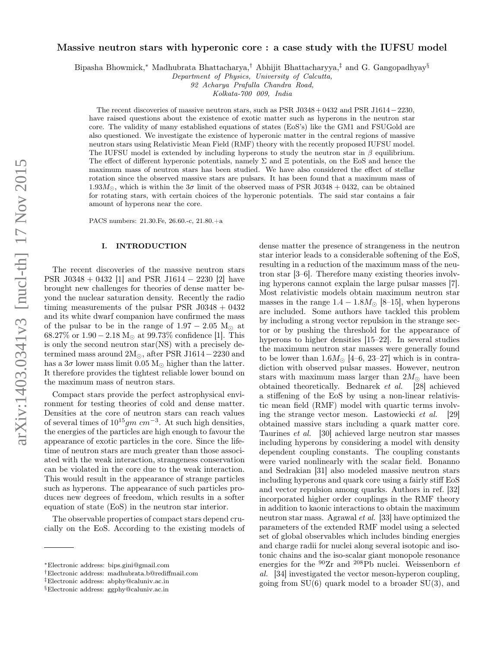# Massive neutron stars with hyperonic core : a case study with the IUFSU model

Bipasha Bhowmick,<sup>∗</sup> Madhubrata Bhattacharya,† Abhijit Bhattacharyya,‡ and G. Gangopadhyay§

*Department of Physics, University of Calcutta,*

*92 Acharya Prafulla Chandra Road,*

*Kolkata-700 009, India*

The recent discoveries of massive neutron stars, such as PSR J0348+0432 and PSR J1614−2230, have raised questions about the existence of exotic matter such as hyperons in the neutron star core. The validity of many established equations of states (EoS's) like the GM1 and FSUGold are also questioned. We investigate the existence of hyperonic matter in the central regions of massive neutron stars using Relativistic Mean Field (RMF) theory with the recently proposed IUFSU model. The IUFSU model is extended by including hyperons to study the neutron star in  $\beta$  equilibrium. The effect of different hyperonic potentials, namely  $\Sigma$  and  $\Xi$  potentials, on the EoS and hence the maximum mass of neutron stars has been studied. We have also considered the effect of stellar rotation since the observed massive stars are pulsars. It has been found that a maximum mass of 1.93 $M_{\odot}$ , which is within the  $3\sigma$  limit of the observed mass of PSR J0348 + 0432, can be obtained for rotating stars, with certain choices of the hyperonic potentials. The said star contains a fair amount of hyperons near the core.

PACS numbers: 21.30.Fe, 26.60.-c, 21.80.+a

#### I. INTRODUCTION

The recent discoveries of the massive neutron stars PSR J0348 + 0432 [1] and PSR J1614 − 2230 [2] have brought new challenges for theories of dense matter beyond the nuclear saturation density. Recently the radio timing measurements of the pulsar PSR  $J0348 + 0432$ and its white dwarf companion have confirmed the mass of the pulsar to be in the range of  $1.97 - 2.05$  M<sub> $\odot$ </sub> at 68.27% or  $1.90 - 2.18$  M<sub> $\odot$ </sub> at 99.73% confidence [1]. This is only the second neutron star(NS) with a precisely determined mass around  $2M_{\odot}$ , after PSR J1614 – 2230 and has a  $3\sigma$  lower mass limit 0.05 M<sub>☉</sub> higher than the latter. It therefore provides the tightest reliable lower bound on the maximum mass of neutron stars.

Compact stars provide the perfect astrophysical environment for testing theories of cold and dense matter. Densities at the core of neutron stars can reach values of several times of  $10^{15}gm \ cm^{-3}$ . At such high densities, the energies of the particles are high enough to favour the appearance of exotic particles in the core. Since the lifetime of neutron stars are much greater than those associated with the weak interaction, strangeness conservation can be violated in the core due to the weak interaction. This would result in the appearance of strange particles such as hyperons. The appearance of such particles produces new degrees of freedom, which results in a softer equation of state (EoS) in the neutron star interior.

The observable properties of compact stars depend crucially on the EoS. According to the existing models of

dense matter the presence of strangeness in the neutron star interior leads to a considerable softening of the EoS, resulting in a reduction of the maximum mass of the neutron star [3–6]. Therefore many existing theories involving hyperons cannot explain the large pulsar masses [7]. Most relativistic models obtain maximum neutron star masses in the range  $1.4 - 1.8M_{\odot}$  [8–15], when hyperons are included. Some authors have tackled this problem by including a strong vector repulsion in the strange sector or by pushing the threshold for the appearance of hyperons to higher densities [15–22]. In several studies the maximum neutron star masses were generally found to be lower than  $1.6M_{\odot}$  [4–6, 23–27] which is in contradiction with observed pulsar masses. However, neutron stars with maximum mass larger than  $2M_{\odot}$  have been obtained theoretically. Bednarek et al. [28] achieved a stiffening of the EoS by using a non-linear relativistic mean field (RMF) model with quartic terms involving the strange vector meson. Lastowiecki et al. [29] obtained massive stars including a quark matter core. Taurines et al. [30] achieved large neutron star masses including hyperons by considering a model with density dependent coupling constants. The coupling constants were varied nonlinearly with the scalar field. Bonanno and Sedrakian [31] also modeled massive neutron stars including hyperons and quark core using a fairly stiff EoS and vector repulsion among quarks. Authors in ref. [32] incorporated higher order couplings in the RMF theory in addition to kaonic interactions to obtain the maximum neutron star mass. Agrawal et al. [33] have optimized the parameters of the extended RMF model using a selected set of global observables which includes binding energies and charge radii for nuclei along several isotopic and isotonic chains and the iso-scalar giant monopole resonance energies for the  $^{90}Zr$  and  $^{208}Pb$  nuclei. Weissenborn et al. [34] investigated the vector meson-hyperon coupling, going from  $SU(6)$  quark model to a broader  $SU(3)$ , and

<sup>∗</sup>Electronic address: bips.gini@gmail.com

<sup>†</sup>Electronic address: madhubrata.b@rediffmail.com

<sup>‡</sup>Electronic address: abphy@caluniv.ac.in

<sup>§</sup>Electronic address: ggphy@caluniv.ac.in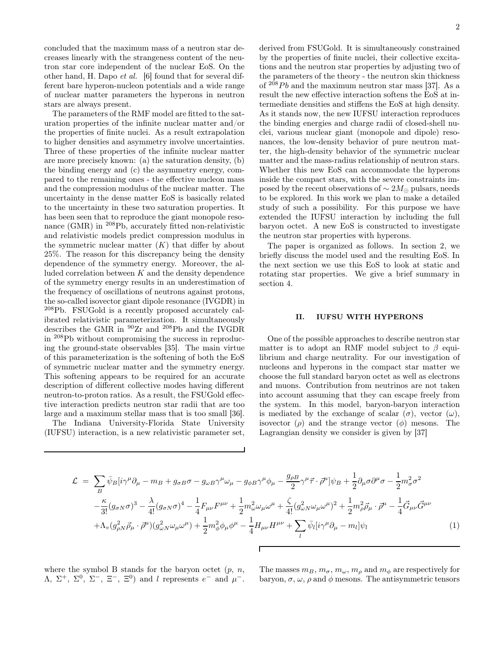concluded that the maximum mass of a neutron star decreases linearly with the strangeness content of the neutron star core independent of the nuclear EoS. On the other hand, H. Dapo et al. [6] found that for several different bare hyperon-nucleon potentials and a wide range of nuclear matter parameters the hyperons in neutron stars are always present.

The parameters of the RMF model are fitted to the saturation properties of the infinite nuclear matter and/or the properties of finite nuclei. As a result extrapolation to higher densities and asymmetry involve uncertainties. Three of these properties of the infinite nuclear matter are more precisely known: (a) the saturation density, (b) the binding energy and (c) the asymmetry energy, compared to the remaining ones - the effective nucleon mass and the compression modulus of the nuclear matter. The uncertainty in the dense matter EoS is basically related to the uncertainty in these two saturation properties. It has been seen that to reproduce the giant monopole resonance (GMR) in <sup>208</sup>Pb, accurately fitted non-relativistic and relativistic models predict compression modulus in the symmetric nuclear matter  $(K)$  that differ by about 25%. The reason for this discrepancy being the density dependence of the symmetry energy. Moreover, the alluded correlation between  $K$  and the density dependence of the symmetry energy results in an underestimation of the frequency of oscillations of neutrons against protons, the so-called isovector giant dipole resonance (IVGDR) in <sup>208</sup>Pb. FSUGold is a recently proposed accurately calibrated relativistic parameterization. It simultaneously describes the GMR in <sup>90</sup>Zr and <sup>208</sup>Pb and the IVGDR in <sup>208</sup>Pb without compromising the success in reproducing the ground-state observables [35]. The main virtue of this parameterization is the softening of both the EoS of symmetric nuclear matter and the symmetry energy. This softening appears to be required for an accurate description of different collective modes having different neutron-to-proton ratios. As a result, the FSUGold effective interaction predicts neutron star radii that are too large and a maximum stellar mass that is too small [36].

The Indiana University-Florida State University (IUFSU) interaction, is a new relativistic parameter set, derived from FSUGold. It is simultaneously constrained by the properties of finite nuclei, their collective excitations and the neutron star properties by adjusting two of the parameters of the theory - the neutron skin thickness of  $208Pb$  and the maximum neutron star mass [37]. As a result the new effective interaction softens the EoS at intermediate densities and stiffens the EoS at high density. As it stands now, the new IUFSU interaction reproduces the binding energies and charge radii of closed-shell nuclei, various nuclear giant (monopole and dipole) resonances, the low-density behavior of pure neutron matter, the high-density behavior of the symmetric nuclear matter and the mass-radius relationship of neutron stars. Whether this new EoS can accommodate the hyperons inside the compact stars, with the severe constraints imposed by the recent observations of  $\sim 2M_{\odot}$  pulsars, needs to be explored. In this work we plan to make a detailed study of such a possibility. For this purpose we have extended the IUFSU interaction by including the full baryon octet. A new EoS is constructed to investigate the neutron star properties with hyperons.

The paper is organized as follows. In section 2, we briefly discuss the model used and the resulting EoS. In the next section we use this EoS to look at static and rotating star properties. We give a brief summary in section 4.

#### II. IUFSU WITH HYPERONS

One of the possible approaches to describe neutron star matter is to adopt an RMF model subject to  $\beta$  equilibrium and charge neutrality. For our investigation of nucleons and hyperons in the compact star matter we choose the full standard baryon octet as well as electrons and muons. Contribution from neutrinos are not taken into account assuming that they can escape freely from the system. In this model, baryon-baryon interaction is mediated by the exchange of scalar  $(\sigma)$ , vector  $(\omega)$ , isovector  $(\rho)$  and the strange vector  $(\phi)$  mesons. The Lagrangian density we consider is given by [37]

$$
\mathcal{L} = \sum_{B} \bar{\psi}_{B} [i\gamma^{\mu} \partial_{\mu} - m_{B} + g_{\sigma B} \sigma - g_{\omega B} \gamma^{\mu} \omega_{\mu} - g_{\phi B} \gamma^{\mu} \phi_{\mu} - \frac{g_{\rho B}}{2} \gamma^{\mu} \vec{\tau} \cdot \vec{\rho}^{\mu}] \psi_{B} + \frac{1}{2} \partial_{\mu} \sigma \partial^{\mu} \sigma - \frac{1}{2} m_{\sigma}^{2} \sigma^{2} -\frac{\kappa}{3!} (g_{\sigma N} \sigma)^{3} - \frac{\lambda}{4!} (g_{\sigma N} \sigma)^{4} - \frac{1}{4} F_{\mu\nu} F^{\mu\nu} + \frac{1}{2} m_{\omega}^{2} \omega_{\mu} \omega^{\mu} + \frac{\zeta}{4!} (g_{\omega N}^{2} \omega_{\mu} \omega^{\mu})^{2} + \frac{1}{2} m_{\rho}^{2} \vec{\rho}_{\mu} \cdot \vec{\rho}^{\mu} - \frac{1}{4} \vec{G}_{\mu\nu} \vec{G}^{\mu\nu} +\Lambda_{v} (g_{\rho N}^{2} \vec{\rho}_{\mu} \cdot \vec{\rho}^{\mu}) (g_{\omega N}^{2} \omega_{\mu} \omega^{\mu}) + \frac{1}{2} m_{\phi}^{2} \phi_{\mu} \phi^{\mu} - \frac{1}{4} H_{\mu\nu} H^{\mu\nu} + \sum_{l} \bar{\psi}_{l} [i\gamma^{\mu} \partial_{\mu} - m_{l}] \psi_{l}
$$
(1)

where the symbol B stands for the baryon octet  $(p, n,$  $\Lambda$ ,  $\Sigma^{+}$ ,  $\Sigma^{0}$ ,  $\Sigma^{-}$ ,  $\Xi^{-}$ ,  $\Sigma^{0}$ ) and l represents  $e^{-}$  and  $\mu^{-}$ . The masses  $m_B, m_{\sigma}, m_{\omega}, m_{\rho}$  and  $m_{\phi}$  are respectively for baryon,  $\sigma$ ,  $\omega$ ,  $\rho$  and  $\phi$  mesons. The antisymmetric tensors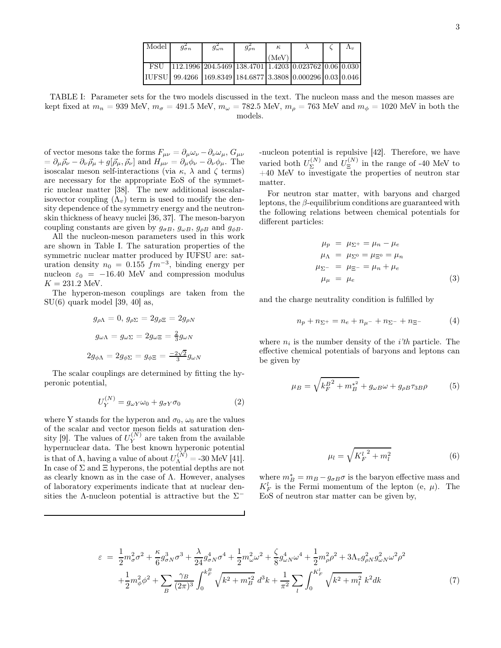| Model      | $g_{\sigma n}$                                                                                                        | $_{\mathcal{Y}\omega n}$ | $g_{\rho n}$ | $\kappa$ |  | $\Lambda_{\eta}$ |
|------------|-----------------------------------------------------------------------------------------------------------------------|--------------------------|--------------|----------|--|------------------|
|            |                                                                                                                       |                          |              | (MeV)    |  |                  |
| <b>FSU</b> | $\vert$ 112.1996 $\vert$ 204.5469 $\vert$ 138.4701 $\vert$ 1.4203 $\vert$ 0.023762 $\vert$ 0.06 $\vert$ 0.030 $\vert$ |                          |              |          |  |                  |
|            | IUFSU 99.4266   169.8349   184.6877   3.3808   0.000296   0.03   0.046                                                |                          |              |          |  |                  |

TABLE I: Parameter sets for the two models discussed in the text. The nucleon mass and the meson masses are kept fixed at  $m_n = 939$  MeV,  $m_{\sigma} = 491.5$  MeV,  $m_{\omega} = 782.5$  MeV,  $m_{\rho} = 763$  MeV and  $m_{\phi} = 1020$  MeV in both the models.

of vector mesons take the forms  $F_{\mu\nu} = \partial_{\mu}\omega_{\nu} - \partial_{\nu}\omega_{\mu}$ ,  $G_{\mu\nu}$  $= \partial_\mu \vec{\rho}_\nu - \partial_\nu \vec{\rho}_\mu + g[\vec{\rho}_\mu, \vec{\rho}_\nu]$  and  $H_{\mu\nu} = \partial_\mu \phi_\nu - \partial_\nu \phi_\mu$ . The isoscalar meson self-interactions (via  $\kappa$ ,  $\lambda$  and  $\zeta$  terms) are necessary for the appropriate EoS of the symmetric nuclear matter [38]. The new additional isoscalarisovector coupling  $(\Lambda_v)$  term is used to modify the density dependence of the symmetry energy and the neutronskin thickness of heavy nuclei [36, 37]. The meson-baryon coupling constants are given by  $g_{\sigma B}$ ,  $g_{\omega B}$ ,  $g_{\rho B}$  and  $g_{\phi B}$ .

All the nucleon-meson parameters used in this work are shown in Table I. The saturation properties of the symmetric nuclear matter produced by IUFSU are: saturation density  $n_0 = 0.155$   $fm^{-3}$ , binding energy per nucleon  $\varepsilon_0$  = −16.40 MeV and compression modulus  $K = 231.2$  MeV.

The hyperon-meson couplings are taken from the  $SU(6)$  quark model [39, 40] as,

$$
g_{\rho\Lambda} = 0, g_{\rho\Sigma} = 2g_{\rho\Xi} = 2g_{\rho N}
$$
  

$$
g_{\omega\Lambda} = g_{\omega\Sigma} = 2g_{\omega\Xi} = \frac{2}{3}g_{\omega N}
$$
  

$$
2g_{\phi\Lambda} = 2g_{\phi\Sigma} = g_{\phi\Xi} = \frac{-2\sqrt{2}}{3}g_{\omega N}
$$

The scalar couplings are determined by fitting the hyperonic potential,

$$
U_Y^{(N)} = g_{\omega Y} \omega_0 + g_{\sigma Y} \sigma_0 \tag{2}
$$

where Y stands for the hyperon and  $\sigma_0$ ,  $\omega_0$  are the values of the scalar and vector meson fields at saturation density [9]. The values of  $U_Y^{(N)}$  $\hat{Y}^{(N)}$  are taken from the available hypernuclear data. The best known hyperonic potential is that of  $\Lambda$ , having a value of about  $U_{\Lambda}^{(N)} = -30$  MeV [41]. In case of  $\Sigma$  and  $\Xi$  hyperons, the potential depths are not as clearly known as in the case of  $\Lambda$ . However, analyses of laboratory experiments indicate that at nuclear densities the  $\Lambda$ -nucleon potential is attractive but the  $\Sigma^-$ 

-nucleon potential is repulsive [42]. Therefore, we have varied both  $U_{\Sigma}^{(N)}$  $\mathcal{L}^{(N)}_{\Sigma}$  and  $U_{\Xi}^{(N)}$  $\Xi$ <sup>[N']</sup> in the range of -40 MeV to  $+40$  MeV to investigate the properties of neutron star matter.

For neutron star matter, with baryons and charged leptons, the  $\beta$ -equilibrium conditions are guaranteed with the following relations between chemical potentials for different particles:

$$
\mu_p = \mu_{\Sigma^+} = \mu_n - \mu_e
$$
  
\n
$$
\mu_{\Lambda} = \mu_{\Sigma^0} = \mu_{\Xi^0} = \mu_n
$$
  
\n
$$
\mu_{\Sigma^-} = \mu_{\Xi^-} = \mu_n + \mu_e
$$
  
\n
$$
\mu_\mu = \mu_e
$$
\n(3)

and the charge neutrality condition is fulfilled by

$$
n_p + n_{\Sigma^+} = n_e + n_{\mu^-} + n_{\Sigma^-} + n_{\Xi^-}
$$
 (4)

where  $n_i$  is the number density of the *i'th* particle. The effective chemical potentials of baryons and leptons can be given by

$$
\mu_B = \sqrt{k_F^{B^2} + m_B^{*^2}} + g_{\omega B} \omega + g_{\rho B} \tau_{3B} \rho \tag{5}
$$

$$
\mu_l = \sqrt{{K_F^l}^2 + m_l^2} \tag{6}
$$

where  $m_B^* = m_B - g_{\sigma B} \sigma$  is the baryon effective mass and  $K_F^l$  is the Fermi momentum of the lepton (e,  $\mu$ ). The EoS of neutron star matter can be given by,

$$
\varepsilon = \frac{1}{2} m_{\sigma}^{2} \sigma^{2} + \frac{\kappa}{6} g_{\sigma N}^{3} \sigma^{3} + \frac{\lambda}{24} g_{\sigma N}^{4} \sigma^{4} + \frac{1}{2} m_{\omega}^{2} \omega^{2} + \frac{\zeta}{8} g_{\omega N}^{4} \omega^{4} + \frac{1}{2} m_{\rho}^{2} \rho^{2} + 3 \Lambda_{v} g_{\rho N}^{2} g_{\omega N}^{2} \omega^{2} \rho^{2} + \frac{1}{2} m_{\phi}^{2} \phi^{2} + \sum_{B} \frac{\gamma_{B}}{(2\pi)^{3}} \int_{0}^{k_{F}^{B}} \sqrt{k^{2} + m_{B}^{*2}} d^{3}k + \frac{1}{\pi^{2}} \sum_{l} \int_{0}^{K_{F}^{l}} \sqrt{k^{2} + m_{l}^{2}} k^{2} dk
$$
\n(7)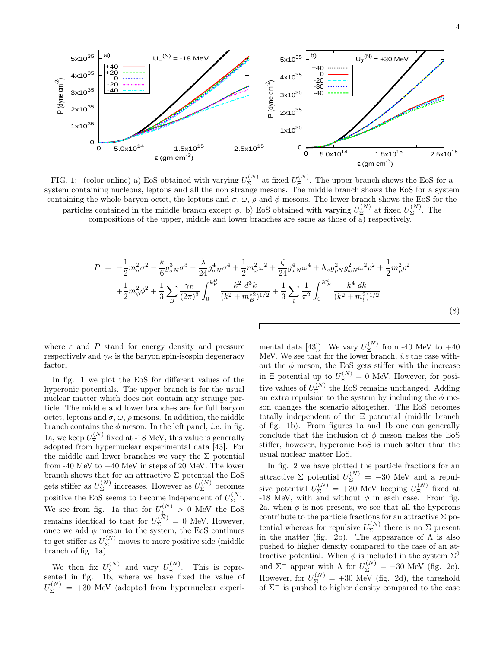

FIG. 1: (color online) a) EoS obtained with varying  $U_{\Sigma}^{(N)}$  $\Sigma^{(N)}$  at fixed  $U_{\Xi}^{(N)}$  $\mathbb{E}^{(N)}$ . The upper branch shows the EoS for a system containing nucleons, leptons and all the non strange mesons. The middle branch shows the EoS for a system containing the whole baryon octet, the leptons and  $\sigma$ ,  $\omega$ ,  $\rho$  and  $\phi$  mesons. The lower branch shows the EoS for the particles contained in the middle branch except  $\phi$ . b) EoS obtained with varying  $U_{\Xi}^{(N)}$  $\mathcal{L}_{\Xi}^{(N)}$  at fixed  $U_{\Sigma}^{(N)}$  $\Sigma$ . The

compositions of the upper, middle and lower branches are same as those of a) respectively.

$$
P = -\frac{1}{2}m_{\sigma}^{2}\sigma^{2} - \frac{\kappa}{6}g_{\sigma N}^{3}\sigma^{3} - \frac{\lambda}{24}g_{\sigma N}^{4}\sigma^{4} + \frac{1}{2}m_{\omega}^{2}\omega^{2} + \frac{\zeta}{24}g_{\omega N}^{4}\omega^{4} + \Lambda_{v}g_{\rho N}^{2}g_{\omega N}^{2}\omega^{2}\rho^{2} + \frac{1}{2}m_{\rho}^{2}\rho^{2} + \frac{1}{2}m_{\phi}^{2}\rho^{2} + \frac{1}{2}m_{\phi}^{2}\phi^{2} + \frac{1}{3}\sum_{B} \frac{\gamma_{B}}{(2\pi)^{3}}\int_{0}^{k_{F}^{B}} \frac{k^{2} d^{3}k}{(k^{2} + m_{B}^{*2})^{1/2}} + \frac{1}{3}\sum_{l} \frac{1}{\pi^{2}}\int_{0}^{k_{F}^{L}} \frac{k^{4} dk}{(k^{2} + m_{l}^{2})^{1/2}}
$$
\n(8)

where  $\varepsilon$  and  $P$  stand for energy density and pressure respectively and  $\gamma_B$  is the baryon spin-isospin degeneracy factor.

In fig. 1 we plot the EoS for different values of the hyperonic potentials. The upper branch is for the usual nuclear matter which does not contain any strange particle. The middle and lower branches are for full baryon octet, leptons and  $\sigma$ ,  $\omega$ ,  $\rho$  mesons. In addition, the middle branch contains the  $\phi$  meson. In the left panel, *i.e.* in fig. 1a, we keep  $U_{\Xi}^{(N)}$  $\mathbb{E}^{(N)}$  fixed at -18 MeV, this value is generally adopted from hypernuclear experimental data [43]. For the middle and lower branches we vary the  $\Sigma$  potential from -40 MeV to  $+40$  MeV in steps of 20 MeV. The lower branch shows that for an attractive  $\Sigma$  potential the EoS gets stiffer as  $U_{\Sigma}^{(N)}$  $\sum_{\Sigma}^{(N)}$  increases. However as  $U_{\Sigma}^{(N)}$  $\sum_{\infty}^{\binom{N}{k}}$  becomes positive the EoS seems to become independent of  $U_{\Sigma}^{(N)}$  $\sum_{i=1}^{\binom{n}{2}}$ We see from fig. 1a that for  $U_{\Sigma}^{(N)} > 0$  MeV the EoS remains identical to that for  $U_{\Sigma}^{(N)} = 0$  MeV. However, once we add  $\phi$  meson to the system, the EoS continues to get stiffer as  $U_{\Sigma}^{(N)}$  moves to more positive side (middle branch of fig.  $1a$ ).

We then fix  $U_{\Sigma}^{(N)}$  $\Sigma^{(N)}$  and vary  $U_{\Xi}^{(N)}$  $\mathbb{E}^{(N)}$ . This is represented in fig. 1b, where we have fixed the value of  $U_{\Sigma}^{(N)} = +30$  MeV (adopted from hypernuclear experi-

mental data [43]). We vary  $U_{\Xi}^{(N)}$  $\Xi$ <sup>(1v)</sup> from -40 MeV to  $+40$ MeV. We see that for the lower branch, *i.e* the case without the  $\phi$  meson, the EoS gets stiffer with the increase in  $\Xi$  potential up to  $U_{\Xi}^{(N)} = 0$  MeV. However, for positive values of  $U_{\Xi}^{(N)}$  $\mathbf{E}^{(N)}$  the EoS remains unchanged. Adding an extra repulsion to the system by including the  $\phi$  meson changes the scenario altogether. The EoS becomes totally independent of the Ξ potential (middle branch of fig. 1b). From figures 1a and 1b one can generally conclude that the inclusion of  $\phi$  meson makes the EoS stiffer, however, hyperonic EoS is much softer than the usual nuclear matter EoS.

In fig. 2 we have plotted the particle fractions for an attractive  $\Sigma$  potential  $U_{\Sigma}^{(N)} = -30$  MeV and a repulsive potential  $U_{\Sigma}^{(N)} = +30$  MeV keeping  $U_{\Xi}^{(N)}$  $\mathbb{E}^{\left(\mathbb{I}\right)}$  fixed at -18 MeV, with and without  $\phi$  in each case. From fig. 2a, when  $\phi$  is not present, we see that all the hyperons contribute to the particle fractions for an attractive  $\Sigma$  potential whereas for repulsive  $U_{\Sigma}^{(N)}$  $\sum_{\Sigma}$  there is no  $\Sigma$  present in the matter (fig. 2b). The appearance of  $\Lambda$  is also pushed to higher density compared to the case of an attractive potential. When  $\phi$  is included in the system  $\Sigma^0$ and  $\Sigma^-$  appear with  $\Lambda$  for  $U_{\Sigma}^{(N)} = -30$  MeV (fig. 2c). However, for  $U_{\Sigma}^{(N)} = +30$  MeV (fig. 2d), the threshold of  $\Sigma^-$  is pushed to higher density compared to the case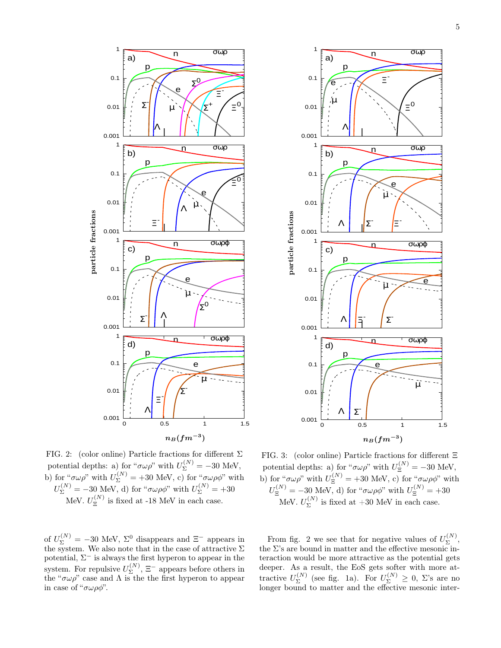



FIG. 2: (color online) Particle fractions for different  $\Sigma$ potential depths: a) for " $\sigma \omega \rho$ " with  $U_{\Sigma}^{(N)} = -30$  MeV, b) for " $\sigma \omega \rho$ " with  $U_{\Sigma}^{(N)} = +30$  MeV, c) for " $\sigma \omega \rho \phi$ " with  $U_{\Sigma}^{(N)} = -30$  MeV, d) for " $\sigma \omega \rho \phi$ " with  $U_{\Sigma}^{(N)} = +30$ MeV.  $U_{\Xi}^{(N)}$  $\Xi$ <sup>(1v)</sup> is fixed at -18 MeV in each case.

of  $U_{\Sigma}^{(N)} = -30$  MeV,  $\Sigma^0$  disappears and  $\Xi^-$  appears in the system. We also note that in the case of attractive  $\Sigma$ potential,  $\Sigma^-$  is always the first hyperon to appear in the system. For repulsive  $U_{\Sigma}^{(N)}$  $\Sigma^{\left(N\right)}$ ,  $\Xi^-$  appears before others in the " $\sigma \omega \rho$ " case and  $\Lambda$  is the the first hyperon to appear in case of " $\sigma \omega \rho \phi$ ".

FIG. 3: (color online) Particle fractions for different Ξ potential depths: a) for " $\sigma \omega \rho$ " with  $U_{\Xi}^{(N)} = -30$  MeV, b) for " $\sigma \omega \rho$ " with  $U_{\Xi}^{(N)} = +30$  MeV, c) for " $\sigma \omega \rho \phi$ " with  $U_{\Xi}^{(N)} = -30$  MeV, d) for " $\sigma \omega \rho \phi$ " with  $U_{\Xi}^{(N)} = +30$ MeV.  $U^{(N)}_{\Sigma}$  $\sum_{\Sigma}$ <sup>(N)</sup> is fixed at +30 MeV in each case.

From fig. 2 we see that for negative values of  $U_{\Sigma}^{(N)}$  $\sum_{\Sigma}^{\left( N\right) },$ the  $\Sigma$ 's are bound in matter and the effective mesonic interaction would be more attractive as the potential gets deeper. As a result, the EoS gets softer with more attractive  $U_{\Sigma}^{(N)}$  $\sum_{\Sigma}^{(N)}$  (see fig. 1a). For  $U_{\Sigma}^{(N)} \geq 0$ ,  $\Sigma$ 's are no longer bound to matter and the effective mesonic inter-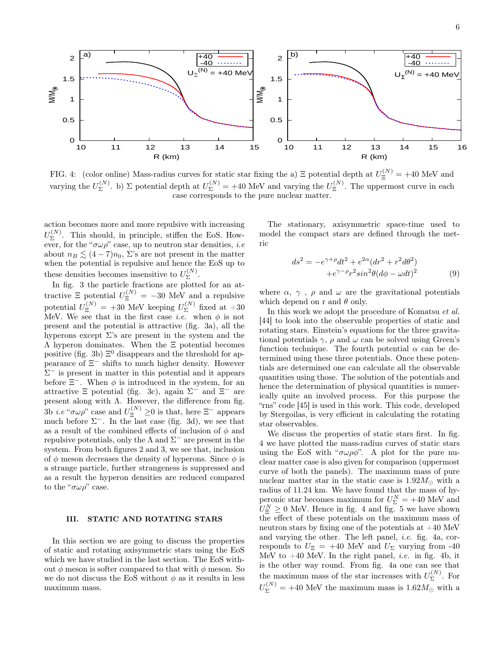

FIG. 4: (color online) Mass-radius curves for static star fixing the a)  $\Xi$  potential depth at  $U_{\Xi}^{(N)} = +40$  MeV and varying the  $U_{\Sigma}^{(N)}$  $\Sigma_{\Sigma}^{(N)}$ . b)  $\Sigma$  potential depth at  $U_{\Sigma}^{(N)} = +40$  MeV and varying the  $U_{\Xi}^{(N)}$  $\Xi$ <sup>(N)</sup>. The uppermost curve in each case corresponds to the pure nuclear matter.

action becomes more and more repulsive with increasing  $U^{(N)}_{\Sigma}$  $\Sigma^{(N)}$ . This should, in principle, stiffen the EoS. However, for the " $\sigma \omega \rho$ " case, up to neutron star densities, *i.e* about  $n_B \leq (4 - 7)n_0$ ,  $\Sigma$ 's are not present in the matter when the potential is repulsive and hence the EoS up to these densities becomes insensitive to  $U_{\Sigma}^{(N)}$ .

EVERT FRACTED FOR THE INTERFERITE CODE TO  $\sum$ .<br>In fig. 3 the particle fractions are plotted for an attractive  $\Xi$  potential  $U_{\Xi}^{(N)} = -30$  MeV and a repulsive potential  $U_{\Xi}^{(N)} = +30$  MeV keeping  $U_{\Sigma}^{(N)}$  $\sum^{\binom{1}{x}}$  fixed at  $+30$ MeV. We see that in the first case *i.e.* when  $\phi$  is not present and the potential is attractive (fig. 3a), all the hyperons except  $\Sigma$ 's are present in the system and the Λ hyperon dominates. When the Ξ potential becomes positive (fig. 3b)  $\Xi^0$  disappears and the threshold for appearance of Ξ − shifts to much higher density. However  $\Sigma^-$  is present in matter in this potential and it appears before  $\Xi^-$ . When  $\phi$  is introduced in the system, for an attractive  $\Xi$  potential (fig. 3c), again  $\Sigma^-$  and  $\Xi^-$  are present along with Λ. However, the difference from fig. 3b *i.e* " $\sigma \omega \rho$ " case and  $U_{\Xi}^{(N)} \ge 0$  is that, here  $\Xi^-$  appears much before  $\Sigma^-$ . In the last case (fig. 3d), we see that as a result of the combined effects of inclusion of  $\phi$  and repulsive potentials, only the  $\Lambda$  and  $\Sigma^-$  are present in the system. From both figures 2 and 3, we see that, inclusion of  $\phi$  meson decreases the density of hyperons. Since  $\phi$  is a strange particle, further strangeness is suppressed and as a result the hyperon densities are reduced compared to the " $\sigma \omega \rho$ " case.

### III. STATIC AND ROTATING STARS

In this section we are going to discuss the properties of static and rotating axisymmetric stars using the EoS which we have studied in the last section. The EoS without  $\phi$  meson is softer compared to that with  $\phi$  meson. So we do not discuss the EoS without  $\phi$  as it results in less maximum mass.

The stationary, axisymmetric space-time used to model the compact stars are defined through the metric

$$
ds2 = -e\gamma + \rho dt2 + e2\alpha (dr2 + r2 d\theta2)
$$
  
+e<sup>\gamma - \rho</sup>r<sup>2</sup> sin<sup>2</sup> \theta (d\phi - \omega dt)<sup>2</sup> (9)

where  $\alpha$ ,  $\gamma$ ,  $\rho$  and  $\omega$  are the gravitational potentials which depend on r and  $\theta$  only.

In this work we adopt the procedure of Komatsu et al. [44] to look into the observable properties of static and rotating stars. Einstein's equations for the three gravitational potentials  $\gamma$ ,  $\rho$  and  $\omega$  can be solved using Green's function technique. The fourth potential  $\alpha$  can be determined using these three potentials. Once these potentials are determined one can calculate all the observable quantities using those. The solution of the potentials and hence the determination of physical quantities is numerically quite an involved process. For this purpose the "rns" code [45] is used in this work. This code, developed by Stergoilas, is very efficient in calculating the rotating star observables.

We discuss the properties of static stars first. In fig. 4 we have plotted the mass-radius curves of static stars using the EoS with " $\sigma \omega \rho \phi$ ". A plot for the pure nuclear matter case is also given for comparison (uppermost curve of both the panels). The maximum mass of pure nuclear matter star in the static case is  $1.92M_{\odot}$  with a radius of 11.24 km. We have found that the mass of hyperonic star becomes maximum for  $U_{\Sigma}^{N} = +40$  MeV and  $U_{\Xi}^{N} \geq 0$  MeV. Hence in fig. 4 and fig. 5 we have shown the effect of these potentials on the maximum mass of neutron stars by fixing one of the potentials at  $+40$  MeV and varying the other. The left panel, i.e. fig. 4a, corresponds to  $U_{\Xi}$  = +40 MeV and  $U_{\Sigma}$  varying from -40 MeV to  $+40$  MeV. In the right panel, *i.e.* in fig. 4b, it is the other way round. From fig. 4a one can see that the maximum mass of the star increases with  $U_{\Sigma}^{(N)}$  $\sum_{\Sigma}$ <sup>(N)</sup>. For  $U_{\Sigma}^{(N)} = +40$  MeV the maximum mass is  $1.62 M_{\odot}$  with a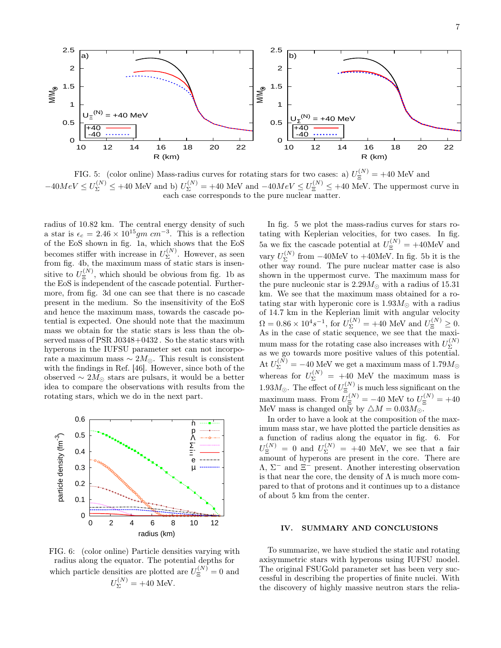

FIG. 5: (color online) Mass-radius curves for rotating stars for two cases: a)  $U_{\Xi}^{(N)} = +40$  MeV and  $-40 MeV \le U_{\Sigma}^{(N)} \le +40$  MeV and b)  $U_{\Sigma}^{(N)} = +40$  MeV and  $-40 MeV \le U_{\Xi}^{(N)} \le +40$  MeV. The uppermost curve in each case corresponds to the pure nuclear matter.

radius of 10.82 km. The central energy density of such a star is  $\epsilon_c = 2.46 \times 10^{15}$ gm  $cm^{-3}$ . This is a reflection of the EoS shown in fig. 1a, which shows that the EoS becomes stiffer with increase in  $U_{\Sigma}^{(N)}$  $\sum_{n=1}^{\lfloor N/2 \rfloor}$ . However, as seen from fig. 4b, the maximum mass of static stars is insensitive to  $U_{\Xi}^{(N)}$  $\mathbf{E}^{(N)}$ , which should be obvious from fig. 1b as the EoS is independent of the cascade potential. Furthermore, from fig. 3d one can see that there is no cascade present in the medium. So the insensitivity of the EoS and hence the maximum mass, towards the cascade potential is expected. One should note that the maximum mass we obtain for the static stars is less than the observed mass of PSR J0348+0432 . So the static stars with hyperons in the IUFSU parameter set can not incorporate a maximum mass  $\sim 2M_{\odot}$ . This result is consistent with the findings in Ref. [46]. However, since both of the observed  $\sim 2M_{\odot}$  stars are pulsars, it would be a better idea to compare the observations with results from the rotating stars, which we do in the next part.



FIG. 6: (color online) Particle densities varying with radius along the equator. The potential depths for which particle densities are plotted are  $U_{\Xi}^{(N)}=0$  and  $U_{\Sigma}^{(N)} = +40$  MeV.

In fig. 5 we plot the mass-radius curves for stars rotating with Keplerian velocities, for two cases. In fig. 5a we fix the cascade potential at  $U_{\Xi}^{(N)} = +40$ MeV and vary  $U_{\Sigma}^{(N)}$  $\sum_{\Sigma}$  from  $-40$ MeV to  $+40$ MeV. In fig. 5b it is the other way round. The pure nuclear matter case is also shown in the uppermost curve. The maximum mass for the pure nucleonic star is  $2.29M_{\odot}$  with a radius of 15.31 km. We see that the maximum mass obtained for a rotating star with hyperonic core is  $1.93M_{\odot}$  with a radius of 14.7 km in the Keplerian limit with angular velocity  $\Omega = 0.86 \times 10^4 s^{-1}$ , for  $U_{\Sigma}^{(N)} = +40$  MeV and  $U_{\Xi}^{(N)} \ge 0$ . As in the case of static sequence, we see that the maximum mass for the rotating case also increases with  $U_{\Sigma}^{(N)}$ Σ as we go towards more positive values of this potential. At  $U_{\Sigma}^{(N)} = -40$  MeV we get a maximum mass of  $1.79 M_{\odot}$ whereas for  $U_{\Sigma}^{(N)} = +40$  MeV the maximum mass is 1.93 $M_{\odot}$ . The effect of  $U_{\Xi}^{(N)}$  $\Xi$  is much less significant on the maximum mass. From  $U_{\Xi}^{(N)} = -40$  MeV to  $U_{\Xi}^{(N)} = +40$ MeV mass is changed only by  $\triangle M = 0.03 M_{\odot}$ .

In order to have a look at the composition of the maximum mass star, we have plotted the particle densities as a function of radius along the equator in fig. 6. For  $U_{\Xi}^{(N)} = 0$  and  $U_{\Sigma}^{(N)} = +40$  MeV, we see that a fair amount of hyperons are present in the core. There are  $\Lambda$ ,  $\Sigma^-$  and  $\Xi^-$  present. Another interesting observation is that near the core, the density of  $\Lambda$  is much more compared to that of protons and it continues up to a distance of about 5 km from the center.

### IV. SUMMARY AND CONCLUSIONS

To summarize, we have studied the static and rotating axisymmetric stars with hyperons using IUFSU model. The original FSUGold parameter set has been very successful in describing the properties of finite nuclei. With the discovery of highly massive neutron stars the relia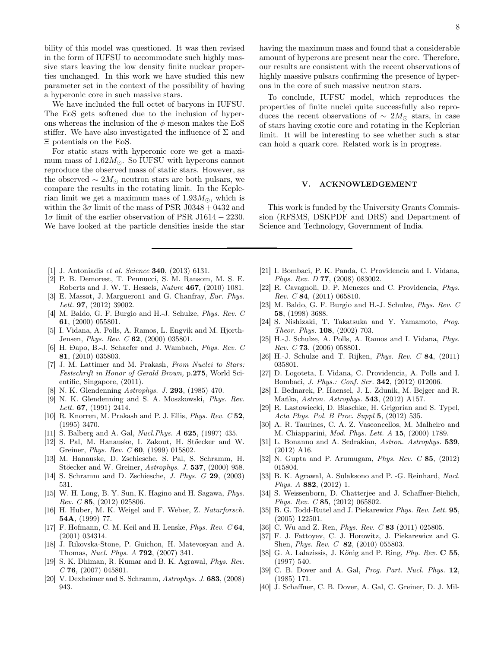bility of this model was questioned. It was then revised in the form of IUFSU to accommodate such highly massive stars leaving the low density finite nuclear properties unchanged. In this work we have studied this new parameter set in the context of the possibility of having a hyperonic core in such massive stars.

We have included the full octet of baryons in IUFSU. The EoS gets softened due to the inclusion of hyperons whereas the inclusion of the  $\phi$  meson makes the EoS stiffer. We have also investigated the influence of  $\Sigma$  and Ξ potentials on the EoS.

For static stars with hyperonic core we get a maximum mass of  $1.62M_{\odot}$ . So IUFSU with hyperons cannot reproduce the observed mass of static stars. However, as the observed  $\sim 2M_{\odot}$  neutron stars are both pulsars, we compare the results in the rotating limit. In the Keplerian limit we get a maximum mass of  $1.93M_{\odot}$ , which is within the  $3\sigma$  limit of the mass of PSR J0348 + 0432 and  $1\sigma$  limit of the earlier observation of PSR J1614 – 2230. We have looked at the particle densities inside the star

- [1] J. Antoniadis *et al. Science* 340, (2013) 6131.
- [2] P. B. Demorest, T. Pennucci, S. M. Ransom, M. S. E. Roberts and J. W. T. Hessels, *Nature* 467, (2010) 1081.
- [3] E. Massot, J. Margueron1 and G. Chanfray, *Eur. Phys. Lett.* 97, (2012) 39002.
- [4] M. Baldo, G. F. Burgio and H.-J. Schulze, *Phys. Rev. C* 61, (2000) 055801.
- [5] I. Vidana, A. Polls, A. Ramos, L. Engvik and M. Hjorth-Jensen, *Phys. Rev. C* 62, (2000) 035801.
- [6] H. Ðapo, B.-J. Schaefer and J. Wambach, *Phys. Rev. C* 81, (2010) 035803.
- [7] J. M. Lattimer and M. Prakash, *From Nuclei to Stars: Festschrift in Honor of Gerald Brown,* p.275, World Scientific, Singapore, (2011).
- [8] N. K. Glendenning *Astrophys. J.* 293, (1985) 470.
- [9] N. K. Glendenning and S. A. Moszkowski, *Phys. Rev. Lett.* 67, (1991) 2414.
- [10] R. Knorren, M. Prakash and P. J. Ellis, *Phys. Rev. C* 52, (1995) 3470.
- [11] S. Balberg and A. Gal, *Nucl.Phys. A* 625, (1997) 435.
- [12] S. Pal, M. Hanauske, I. Zakout, H. Stöecker and W. Greiner, *Phys. Rev. C* 60, (1999) 015802.
- [13] M. Hanauske, D. Zschiesche, S. Pal, S. Schramm, H. Stöecker and W. Greiner, *Astrophys. J.* 537, (2000) 958.
- [14] S. Schramm and D. Zschiesche, *J. Phys. G* 29, (2003) 531.
- [15] W. H. Long, B. Y. Sun, K. Hagino and H. Sagawa, *Phys. Rev. C* 85, (2012) 025806.
- [16] H. Huber, M. K. Weigel and F. Weber, Z. *Naturforsch.* 54A, (1999) 77.
- [17] F. Hofmann, C. M. Keil and H. Lenske, *Phys. Rev. C* 64, (2001) 034314.
- [18] J. Rikovska-Stone, P. Guichon, H. Matevosyan and A. Thomas, *Nucl. Phys. A* 792, (2007) 341.
- [19] S. K. Dhiman, R. Kumar and B. K. Agrawal, *Phys. Rev. C* 76, (2007) 045801.
- [20] V. Dexheimer and S. Schramm, *Astrophys. J.* 683, (2008) 943.

having the maximum mass and found that a considerable amount of hyperons are present near the core. Therefore, our results are consistent with the recent observations of highly massive pulsars confirming the presence of hyperons in the core of such massive neutron stars.

To conclude, IUFSU model, which reproduces the properties of finite nuclei quite successfully also reproduces the recent observations of  $\sim 2M_{\odot}$  stars, in case of stars having exotic core and rotating in the Keplerian limit. It will be interesting to see whether such a star can hold a quark core. Related work is in progress.

## V. ACKNOWLEDGEMENT

This work is funded by the University Grants Commission (RFSMS, DSKPDF and DRS) and Department of Science and Technology, Government of India.

- [21] I. Bombaci, P. K. Panda, C. Providencia and I. Vidana, *Phys. Rev. D* 77, (2008) 083002.
- [22] R. Cavagnoli, D. P. Menezes and C. Providencia, *Phys. Rev. C* 84, (2011) 065810.
- [23] M. Baldo, G. F. Burgio and H.-J. Schulze, *Phys. Rev. C* 58, (1998) 3688.
- [24] S. Nishizaki, T. Takatsuka and Y. Yamamoto, *Prog. Theor. Phys.* 108, (2002) 703.
- [25] H.-J. Schulze, A. Polls, A. Ramos and I. Vidana, *Phys. Rev. C* 73, (2006) 058801.
- [26] H.-J. Schulze and T. Rijken, *Phys. Rev. C* 84, (2011) 035801.
- [27] D. Logoteta, I. Vidana, C. Providencia, A. Polls and I. Bombaci, *J. Phys.: Conf. Ser.* 342, (2012) 012006.
- [28] I. Bednarek, P. Haensel, J. L. Zdunik, M. Bejger and R. Mańka, *Astron. Astrophys.* 543, (2012) A157.
- [29] R. Lastowiecki, D. Blaschke, H. Grigorian and S. Typel, *Acta Phys. Pol. B Proc. Suppl* 5, (2012) 535.
- [30] A. R. Taurines, C. A. Z. Vasconcellos, M. Malheiro and M. Chiapparini, *Mod. Phys. Lett. A* 15, (2000) 1789.
- [31] L. Bonanno and A. Sedrakian, *Astron. Astrophys.* 539, (2012) A16.
- [32] N. Gupta and P. Arumugam, *Phys. Rev. C* 85, (2012) 015804.
- [33] B. K. Agrawal, A. Sulaksono and P. -G. Reinhard, *Nucl. Phys. A* 882, (2012) 1.
- [34] S. Weissenborn, D. Chatterjee and J. Schaffner-Bielich, *Phys. Rev. C* 85, (2012) 065802.
- [35] B. G. Todd-Rutel and J. Piekarewicz *Phys. Rev. Lett.* 95, (2005) 122501.
- [36] C. Wu and Z. Ren, *Phys. Rev. C* 83 (2011) 025805.
- [37] F. J. Fattoyev, C. J. Horowitz, J. Piekarewicz and G. Shen, *Phys. Rev. C* 82, (2010) 055803.
- [38] G. A. Lalazissis, J. König and P. Ring, *Phy. Rev.* **C 55**, (1997) 540.
- [39] C. B. Dover and A. Gal, *Prog. Part. Nucl. Phys.* 12, (1985) 171.
- [40] J. Schaffner, C. B. Dover, A. Gal, C. Greiner, D. J. Mil-